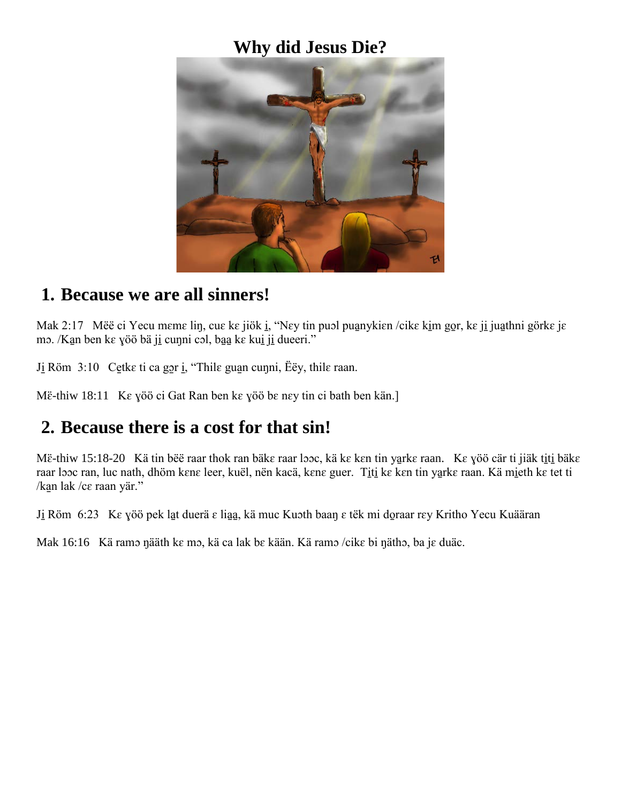# **Why did Jesus Die?**



#### **1. Because we are all sinners!**

Mak 2:17 Mëë ci Yecu mɛmɛ liŋ, cuɛ kɛ jiök i̯, "Nɛy tin puɔl pua̯nykiɛn /cikɛ ki̯m go̯r, kɛ ji̯ jua̯thni görkɛ jɛ mɔ. /Kan ben kɛ yöö bä ji cuŋni cɔl, baa kɛ kui ji dueeri."

J<u>i</u> Röm 3:10 Cetke ti ca gor ių, "Thile guan cunni, Ëëy, thile raan.

Më-thiw 18:11 Ke yöö ci Gat Ran ben ke yöö be ney tin ci bath ben kän.

#### **2. Because there is a cost for that sin!**

Më-thiw 15:18-20 Kä tin bëë raar thok ran bäke raar looc, kä ke ken tin yarke raan. Ke yöö cär ti jiäk titi bäke raar looc ran, luc nath, dhöm kɛnɛ leer, kuël, nën kacä, kɛnɛ guer. Titi kɛ kɛn tin yarkɛ raan. Kä mi̯eth kɛ tet ti /ka̱n lak /cɛ raan yär."

Ji Röm 6:23 K $\varepsilon$  yöö pek lat duerä  $\varepsilon$  liaa, kä muc Kuoth baan  $\varepsilon$  tëk mi doraar r $\varepsilon$ y Kritho Yecu Kuääran

Mak 16:16 Kä ramɔ ŋääth kɛ mɔ, kä ca lak bɛ kään. Kä ramɔ /cikɛ bi ŋäthɔ, ba jɛ duäc.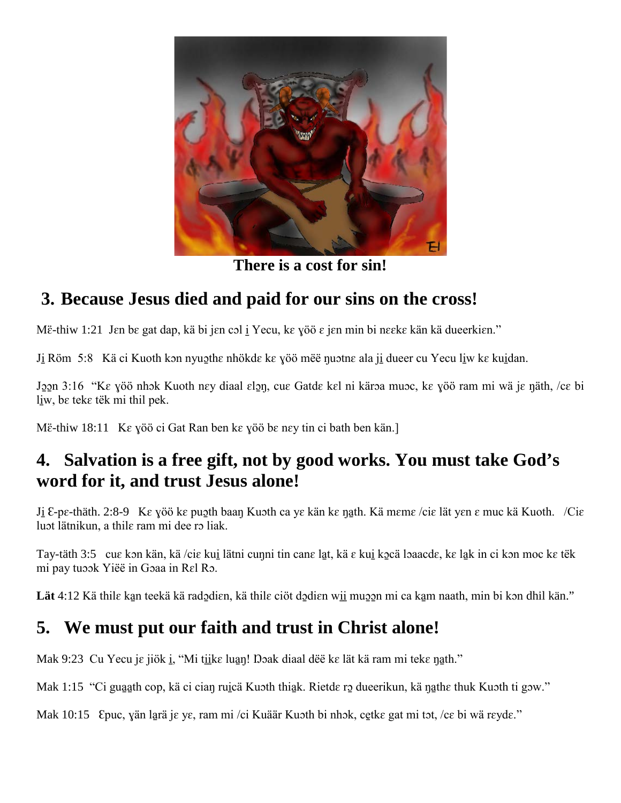

**There is a cost for sin!**

# **3. Because Jesus died and paid for our sins on the cross!**

Më-thiw 1:21 Jen be gat dap, kä bi jen col i Yecu, ke yöö e jen min bi neeke kän kä dueerkien."

Ji Röm 5:8 Kä ci Kuoth kon nyuothe nhökde ke yöö mëë nuotne ala ji dueer cu Yecu liw ke kuidan.

Joon 3:16 "Ke yöö nhok Kuoth ney diaal elon, cue Gatde kel ni käroa muoc, ke yöö ram mi wä je näth, /ce bi liw, be teke tëk mi thil pek.

Më-thiw 18:11 Ke yöö ci Gat Ran ben ke yöö be ney tin ci bath ben kän.]

### **4. Salvation is a free gift, not by good works. You must take God's word for it, and trust Jesus alone!**

J<u>i</u>  $\epsilon$ -pɛ-thäth. 2:8-9 Kɛ yöö kɛ puɔ̯th baan Kuɔth ca yɛ kän kɛ n̩a̯th. Kä mɛmɛ /ciɛ lät yɛn ɛ muc kä Kuoth. /Ciɛ luɔt lätnikun, a thilɛ ram mi dee rɔ liak.

Tay-täth 3:5 cuɛ kɔn kän, kä /ciɛ kui̱ lätni cuŋni tin canɛ la̱t, kä ɛ kui̱ kɔ̱cä lɔaacdɛ, kɛ la̱k in ci kɔn moc kɛ tëk mi pay tuɔɔk Yiëë in Gɔaa in Rɛl Rɔ.

Lät 4:12 Kä thile kan teekä kä radodien, kä thile ciöt dodien wi<u>i</u> muo mi ca kam naath, min bi kon dhil kän."

# **5. We must put our faith and trust in Christ alone!**

Mak 9:23 Cu Yecu je jiök i, "Mi tiike luan! Doak diaal dë ke lät kä ram mi teke nath."

Mak 1:15 "Ci guaath cop, kä ci cian ruiçä Kuɔth thiak. Rietde rɔ dueerikun, kä nathe thuk Kuɔth ti gɔw."

Mak 10:15 Epuc, yän larä je ye, ram mi /ci Kuäär Kuɔth bi nhɔk, cetkɛ gat mi tɔt, /cɛ bi wä rɛydɛ."